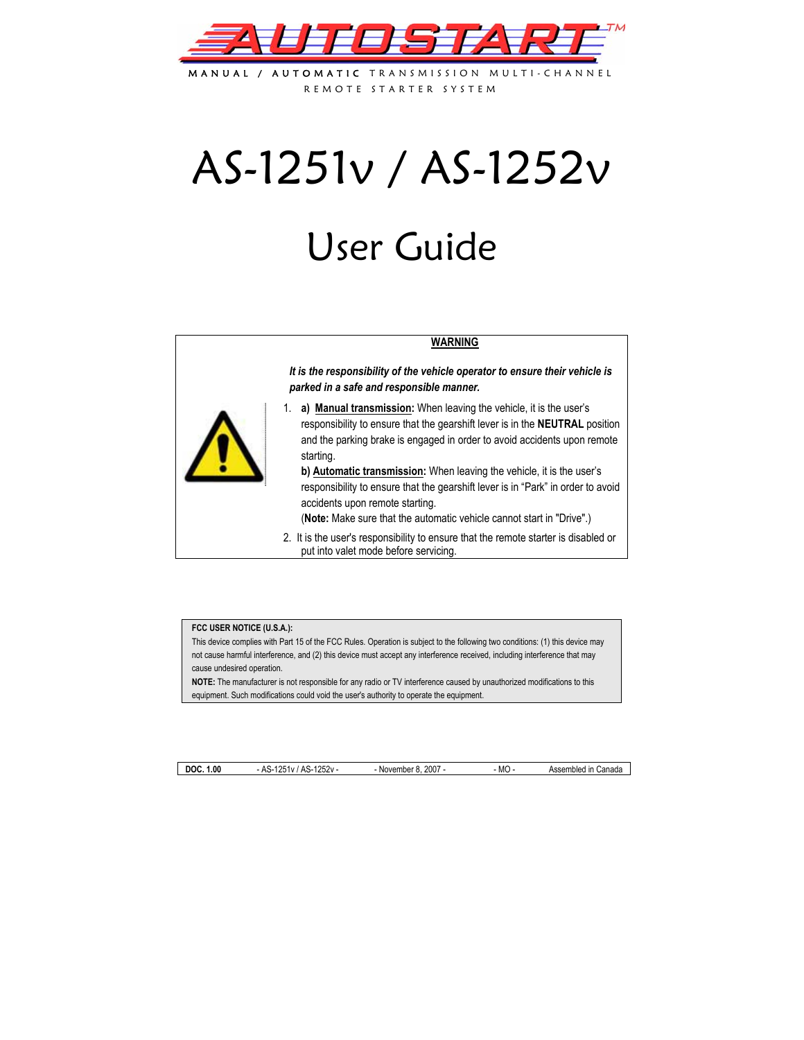

MANUAL / AUTOMATIC TRANSMISSION MULTI-CHANN REMOTE STARTER SYSTEM

# AS-1251v / AS-1252v

# User Guide

#### **WARNING**

*It is the responsibility of the vehicle operator to ensure their vehicle is parked in a safe and responsible manner.* 



1. **a) Manual transmission:** When leaving the vehicle, it is the user's responsibility to ensure that the gearshift lever is in the **NEUTRAL** position and the parking brake is engaged in order to avoid accidents upon remote starting.

**b) Automatic transmission:** When leaving the vehicle, it is the user's responsibility to ensure that the gearshift lever is in "Park" in order to avoid accidents upon remote starting.

(**Note:** Make sure that the automatic vehicle cannot start in "Drive".)

2. It is the user's responsibility to ensure that the remote starter is disabled or put into valet mode before servicing.

#### **FCC USER NOTICE (U.S.A.):**

This device complies with Part 15 of the FCC Rules. Operation is subject to the following two conditions: (1) this device may not cause harmful interference, and (2) this device must accept any interference received, including interference that may cause undesired operation.

**NOTE:** The manufacturer is not responsible for any radio or TV interference caused by unauthorized modifications to this equipment. Such modifications could void the user's authority to operate the equipment.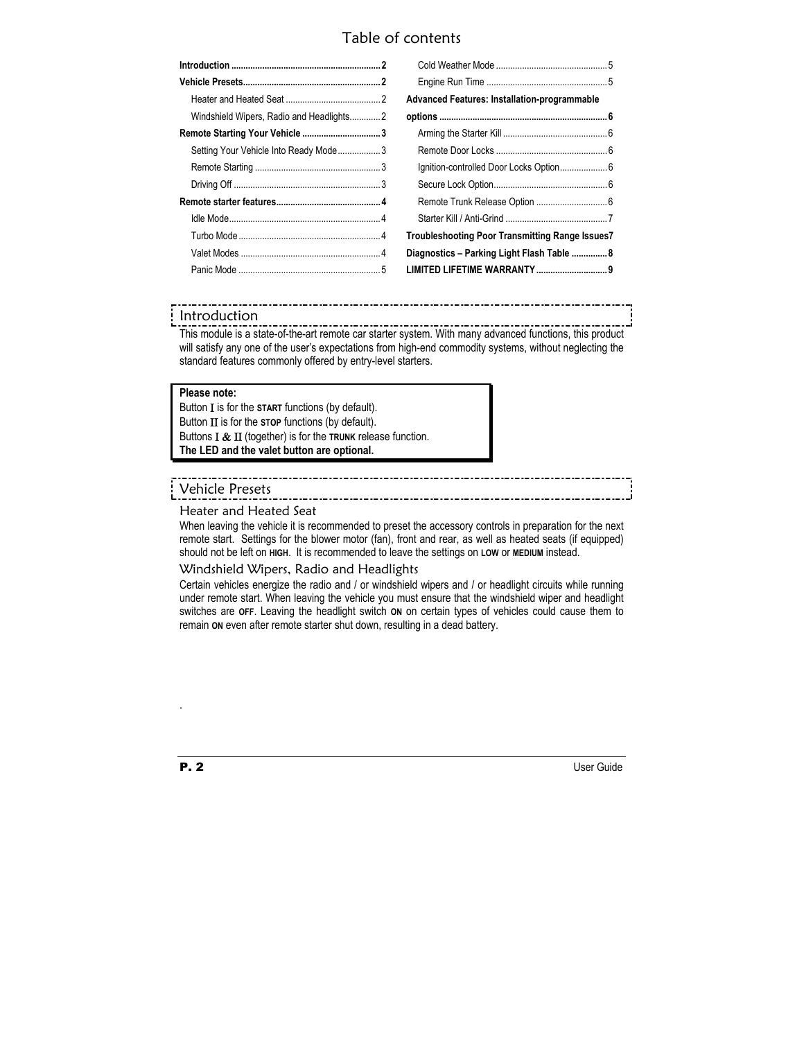# Table of contents

|                                          | <b>Advanced Features: Installation-programmable</b>    |  |
|------------------------------------------|--------------------------------------------------------|--|
| Windshield Wipers, Radio and Headlights2 |                                                        |  |
|                                          |                                                        |  |
| Setting Your Vehicle Into Ready Mode3    |                                                        |  |
|                                          |                                                        |  |
|                                          |                                                        |  |
|                                          |                                                        |  |
|                                          |                                                        |  |
|                                          | <b>Troubleshooting Poor Transmitting Range Issues7</b> |  |
|                                          | Diagnostics - Parking Light Flash Table  8             |  |
|                                          |                                                        |  |

### Introduction

This module is a state-of-the-art remote car starter system. With many advanced functions, this product will satisfy any one of the user's expectations from high-end commodity systems, without neglecting the standard features commonly offered by entry-level starters.

#### **Please note:**

Button Ι is for the **START** functions (by default). Button ΙΙ is for the **STOP** functions (by default). Buttons Ι & ΙΙ (together) is for the **TRUNK** release function. **The LED and the valet button are optional.** 

## Vehicle Presets

#### Heater and Heated Seat

When leaving the vehicle it is recommended to preset the accessory controls in preparation for the next remote start. Settings for the blower motor (fan), front and rear, as well as heated seats (if equipped) should not be left on **HIGH**. It is recommended to leave the settings on **LOW** or **MEDIUM** instead.

#### Windshield Wipers, Radio and Headlights

Certain vehicles energize the radio and / or windshield wipers and / or headlight circuits while running under remote start. When leaving the vehicle you must ensure that the windshield wiper and headlight switches are **OFF**. Leaving the headlight switch **ON** on certain types of vehicles could cause them to remain **ON** even after remote starter shut down, resulting in a dead battery.

.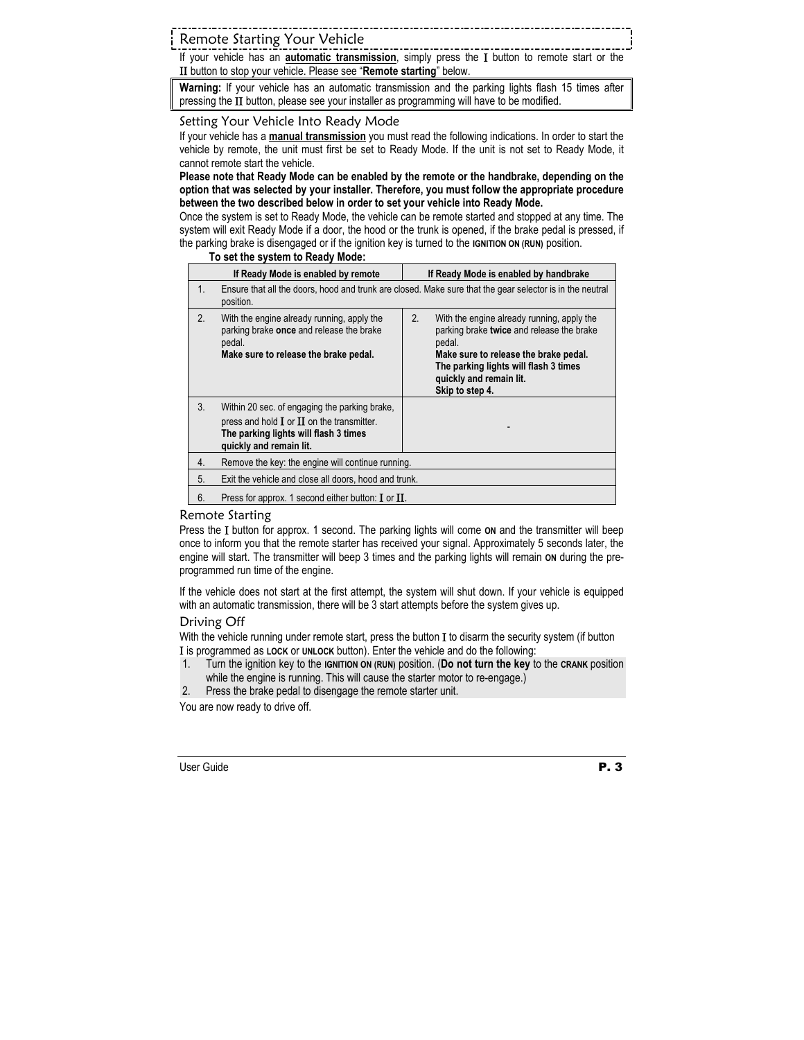Remote Starting Your Vehicle

If your vehicle has an **automatic transmission**, simply press the Ι button to remote start or the ΙΙ button to stop your vehicle. Please see "**Remote starting**" below.

**Warning:** If your vehicle has an automatic transmission and the parking lights flash 15 times after pressing the II button, please see your installer as programming will have to be modified.

#### Setting Your Vehicle Into Ready Mode

If your vehicle has a **manual transmission** you must read the following indications. In order to start the vehicle by remote, the unit must first be set to Ready Mode. If the unit is not set to Ready Mode, it cannot remote start the vehicle.

**Please note that Ready Mode can be enabled by the remote or the handbrake, depending on the option that was selected by your installer. Therefore, you must follow the appropriate procedure between the two described below in order to set your vehicle into Ready Mode.** 

Once the system is set to Ready Mode, the vehicle can be remote started and stopped at any time. The system will exit Ready Mode if a door, the hood or the trunk is opened, if the brake pedal is pressed, if the parking brake is disengaged or if the ignition key is turned to the **IGNITION ON (RUN)** position.

#### **To set the system to Ready Mode:**

|    | If Ready Mode is enabled by remote                                                                                                                                  | If Ready Mode is enabled by handbrake                                                                                                                                                                                                   |  |
|----|---------------------------------------------------------------------------------------------------------------------------------------------------------------------|-----------------------------------------------------------------------------------------------------------------------------------------------------------------------------------------------------------------------------------------|--|
| 1. | Ensure that all the doors, hood and trunk are closed. Make sure that the gear selector is in the neutral<br>position.                                               |                                                                                                                                                                                                                                         |  |
| 2. | With the engine already running, apply the<br>parking brake once and release the brake<br>pedal.<br>Make sure to release the brake pedal.                           | 2.<br>With the engine already running, apply the<br>parking brake twice and release the brake<br>pedal.<br>Make sure to release the brake pedal.<br>The parking lights will flash 3 times<br>quickly and remain lit.<br>Skip to step 4. |  |
| 3. | Within 20 sec. of engaging the parking brake,<br>press and hold $I$ or $II$ on the transmitter.<br>The parking lights will flash 3 times<br>quickly and remain lit. |                                                                                                                                                                                                                                         |  |
| 4. | Remove the key: the engine will continue running.                                                                                                                   |                                                                                                                                                                                                                                         |  |
| 5. | Exit the vehicle and close all doors, hood and trunk.                                                                                                               |                                                                                                                                                                                                                                         |  |
| 6. | Press for approx. 1 second either button: $\mathbf I$ or $\mathbf \Pi$ .                                                                                            |                                                                                                                                                                                                                                         |  |

#### Remote Starting

Press the Ι button for approx. 1 second. The parking lights will come **ON** and the transmitter will beep once to inform you that the remote starter has received your signal. Approximately 5 seconds later, the engine will start. The transmitter will beep 3 times and the parking lights will remain on during the preprogrammed run time of the engine.

If the vehicle does not start at the first attempt, the system will shut down. If your vehicle is equipped with an automatic transmission, there will be 3 start attempts before the system gives up.

#### Driving Off

With the vehicle running under remote start, press the button I to disarm the security system (if button Ι is programmed as **LOCK** or **UNLOCK** button). Enter the vehicle and do the following:

- 1. Turn the ignition key to the **IGNITION ON (RUN)** position. (**Do not turn the key** to the **CRANK** position while the engine is running. This will cause the starter motor to re-engage.)
- 2. Press the brake pedal to disengage the remote starter unit.

You are now ready to drive off.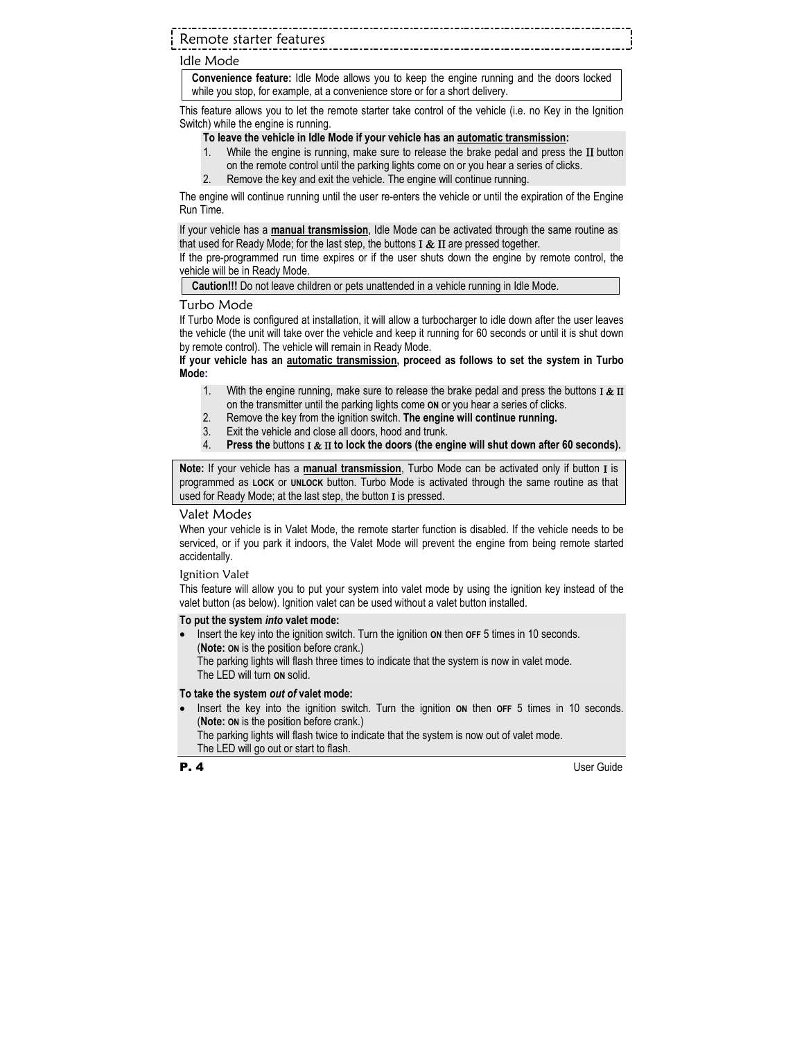## Remote starter features

#### Idle Mode

**Convenience feature:** Idle Mode allows you to keep the engine running and the doors locked while you stop, for example, at a convenience store or for a short delivery.

This feature allows you to let the remote starter take control of the vehicle (i.e. no Key in the Ignition Switch) while the engine is running.

#### **To leave the vehicle in Idle Mode if your vehicle has an automatic transmission:**

- 1. While the engine is running, make sure to release the brake pedal and press the  $\mathbf{II}$  button on the remote control until the parking lights come on or you hear a series of clicks.
- 2. Remove the key and exit the vehicle. The engine will continue running.

The engine will continue running until the user re-enters the vehicle or until the expiration of the Engine Run Time.

If your vehicle has a **manual transmission**, Idle Mode can be activated through the same routine as that used for Ready Mode; for the last step, the buttons  $I & II$  are pressed together.

If the pre-programmed run time expires or if the user shuts down the engine by remote control, the vehicle will be in Ready Mode.

**Caution!!!** Do not leave children or pets unattended in a vehicle running in Idle Mode.

#### Turbo Mode

If Turbo Mode is configured at installation, it will allow a turbocharger to idle down after the user leaves the vehicle (the unit will take over the vehicle and keep it running for 60 seconds or until it is shut down by remote control). The vehicle will remain in Ready Mode.

#### **If your vehicle has an automatic transmission, proceed as follows to set the system in Turbo Mode:**

- 1. With the engine running, make sure to release the brake pedal and press the buttons  $I & II$ on the transmitter until the parking lights come **ON** or you hear a series of clicks.
- 2. Remove the key from the ignition switch. **The engine will continue running.**
- 3. Exit the vehicle and close all doors, hood and trunk.
- 4. **Press the** buttons Ι & ΙΙ **to lock the doors (the engine will shut down after 60 seconds).**

**Note:** If your vehicle has a **manual transmission**, Turbo Mode can be activated only if button Ι is programmed as **LOCK** or **UNLOCK** button. Turbo Mode is activated through the same routine as that used for Ready Mode; at the last step, the button I is pressed.

#### Valet Modes

When your vehicle is in Valet Mode, the remote starter function is disabled. If the vehicle needs to be serviced, or if you park it indoors, the Valet Mode will prevent the engine from being remote started accidentally.

#### Ignition Valet

This feature will allow you to put your system into valet mode by using the ignition key instead of the valet button (as below). Ignition valet can be used without a valet button installed.

#### **To put the system** *into* **valet mode:**

Insert the key into the ignition switch. Turn the ignition on then **OFF** 5 times in 10 seconds. (**Note: ON** is the position before crank.) The parking lights will flash three times to indicate that the system is now in valet mode. The LED will turn **ON** solid.

#### **To take the system** *out of* **valet mode:**

• Insert the key into the ignition switch. Turn the ignition **ON** then **OFF** 5 times in 10 seconds. (**Note: ON** is the position before crank.) The parking lights will flash twice to indicate that the system is now out of valet mode.

The LED will go out or start to flash.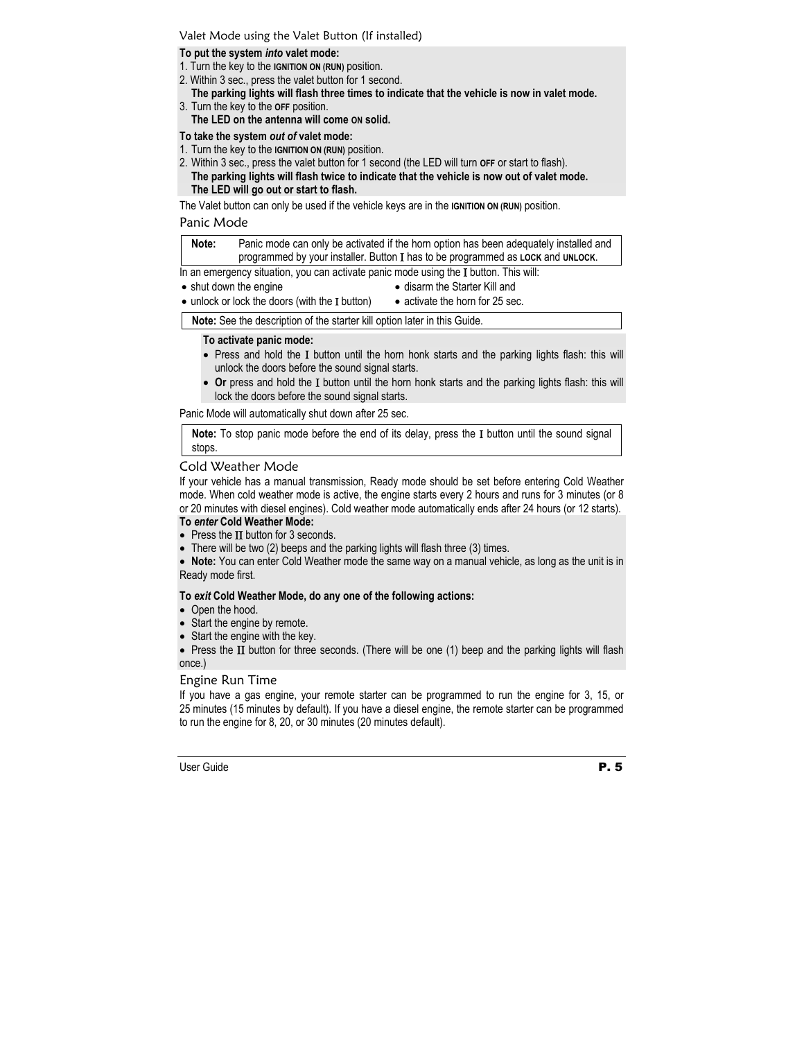#### Valet Mode using the Valet Button (If installed)

#### **To put the system** *into* **valet mode:**

- 1. Turn the key to the **IGNITION ON (RUN)** position.
- 2. Within 3 sec., press the valet button for 1 second.

#### **The parking lights will flash three times to indicate that the vehicle is now in valet mode.**  3. Turn the key to the **OFF** position.

**The LED on the antenna will come ON solid.** 

#### **To take the system** *out of* **valet mode:**

- 1. Turn the key to the **IGNITION ON (RUN)** position.
- 2. Within 3 sec., press the valet button for 1 second (the LED will turn **OFF** or start to flash). **The parking lights will flash twice to indicate that the vehicle is now out of valet mode. The LED will go out or start to flash.**

The Valet button can only be used if the vehicle keys are in the **IGNITION ON (RUN)** position.

#### Panic Mode

**Note:** Panic mode can only be activated if the horn option has been adequately installed and programmed by your installer. Button Ι has to be programmed as **LOCK** and **UNLOCK**.

In an emergency situation, you can activate panic mode using the I button. This will:

• shut down the engine

- disarm the Starter Kill and
- unlock or lock the doors (with the **I** button)
- activate the horn for 25 sec.

**Note:** See the description of the starter kill option later in this Guide.

#### **To activate panic mode:**

- Press and hold the I button until the horn honk starts and the parking lights flash: this will unlock the doors before the sound signal starts.
- **Or** press and hold the Ι button until the horn honk starts and the parking lights flash: this will lock the doors before the sound signal starts.

Panic Mode will automatically shut down after 25 sec.

**Note:** To stop panic mode before the end of its delay, press the Ι button until the sound signal stops.

#### Cold Weather Mode

If your vehicle has a manual transmission, Ready mode should be set before entering Cold Weather mode. When cold weather mode is active, the engine starts every 2 hours and runs for 3 minutes (or 8 or 20 minutes with diesel engines). Cold weather mode automatically ends after 24 hours (or 12 starts).

#### **To** *enter* **Cold Weather Mode:**

- Press the II button for 3 seconds.
- There will be two (2) beeps and the parking lights will flash three (3) times.

• **Note:** You can enter Cold Weather mode the same way on a manual vehicle, as long as the unit is in Ready mode first.

#### **To** *exit* **Cold Weather Mode, do any one of the following actions:**

- Open the hood.
- Start the engine by remote.
- Start the engine with the key.

• Press the II button for three seconds. (There will be one (1) beep and the parking lights will flash once.)

#### Engine Run Time

If you have a gas engine, your remote starter can be programmed to run the engine for 3, 15, or 25 minutes (15 minutes by default). If you have a diesel engine, the remote starter can be programmed to run the engine for 8, 20, or 30 minutes (20 minutes default).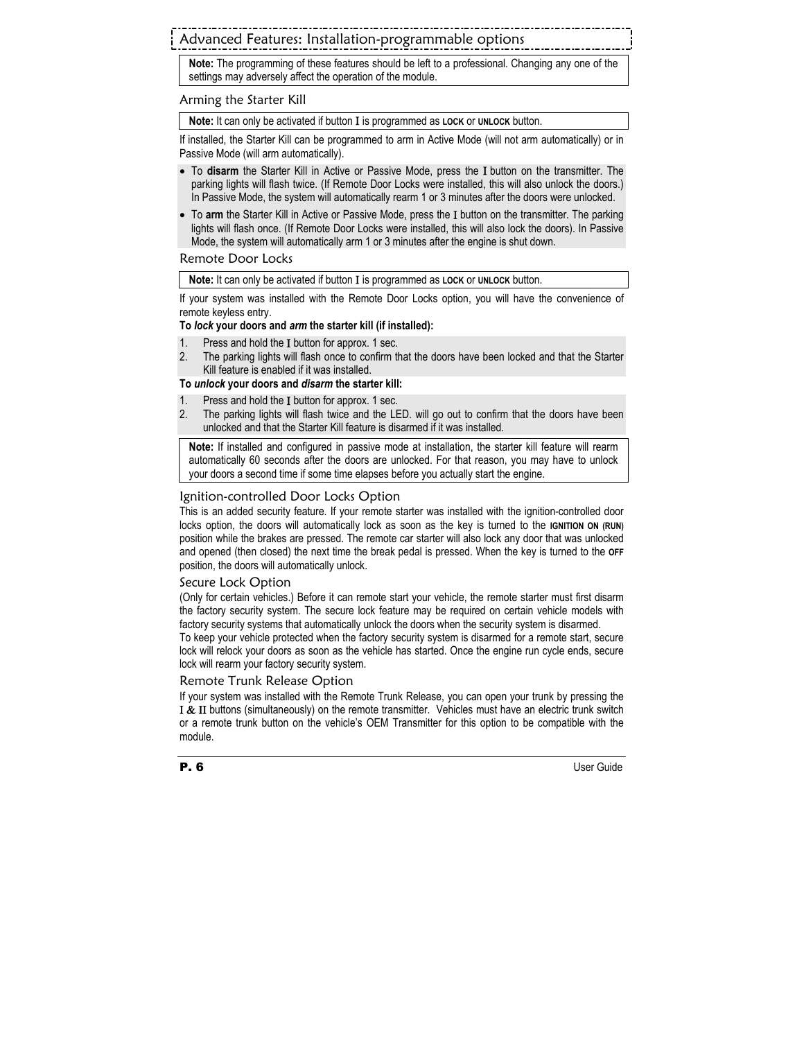# Advanced Features: Installation-programmable options

**Note:** The programming of these features should be left to a professional. Changing any one of the settings may adversely affect the operation of the module.

#### Arming the Starter Kill

**Note:** It can only be activated if button Ι is programmed as **LOCK** or **UNLOCK** button.

If installed, the Starter Kill can be programmed to arm in Active Mode (will not arm automatically) or in Passive Mode (will arm automatically).

- To **disarm** the Starter Kill in Active or Passive Mode, press the Ι button on the transmitter. The parking lights will flash twice. (If Remote Door Locks were installed, this will also unlock the doors.) In Passive Mode, the system will automatically rearm 1 or 3 minutes after the doors were unlocked.
- To **arm** the Starter Kill in Active or Passive Mode, press the Ι button on the transmitter. The parking lights will flash once. (If Remote Door Locks were installed, this will also lock the doors). In Passive Mode, the system will automatically arm 1 or 3 minutes after the engine is shut down.

#### Remote Door Locks

**Note:** It can only be activated if button Ι is programmed as **LOCK** or **UNLOCK** button.

If your system was installed with the Remote Door Locks option, you will have the convenience of remote keyless entry.

#### **To** *lock* **your doors and** *arm* **the starter kill (if installed):**

- 1. Press and hold the Ι button for approx. 1 sec.
- 2. The parking lights will flash once to confirm that the doors have been locked and that the Starter Kill feature is enabled if it was installed.

#### **To** *unlock* **your doors and** *disarm* **the starter kill:**

- 1. Press and hold the Ι button for approx. 1 sec.
- 2. The parking lights will flash twice and the LED. will go out to confirm that the doors have been unlocked and that the Starter Kill feature is disarmed if it was installed.

**Note:** If installed and configured in passive mode at installation, the starter kill feature will rearm automatically 60 seconds after the doors are unlocked. For that reason, you may have to unlock your doors a second time if some time elapses before you actually start the engine.

#### Ignition-controlled Door Locks Option

This is an added security feature. If your remote starter was installed with the ignition-controlled door locks option, the doors will automatically lock as soon as the key is turned to the **IGNITION ON (RUN)** position while the brakes are pressed. The remote car starter will also lock any door that was unlocked and opened (then closed) the next time the break pedal is pressed. When the key is turned to the **OFF** position, the doors will automatically unlock.

#### Secure Lock Option

(Only for certain vehicles.) Before it can remote start your vehicle, the remote starter must first disarm the factory security system. The secure lock feature may be required on certain vehicle models with factory security systems that automatically unlock the doors when the security system is disarmed.

To keep your vehicle protected when the factory security system is disarmed for a remote start, secure lock will relock your doors as soon as the vehicle has started. Once the engine run cycle ends, secure lock will rearm your factory security system.

#### Remote Trunk Release Option

If your system was installed with the Remote Trunk Release, you can open your trunk by pressing the Ι & ΙΙ buttons (simultaneously) on the remote transmitter. Vehicles must have an electric trunk switch or a remote trunk button on the vehicle's OEM Transmitter for this option to be compatible with the module.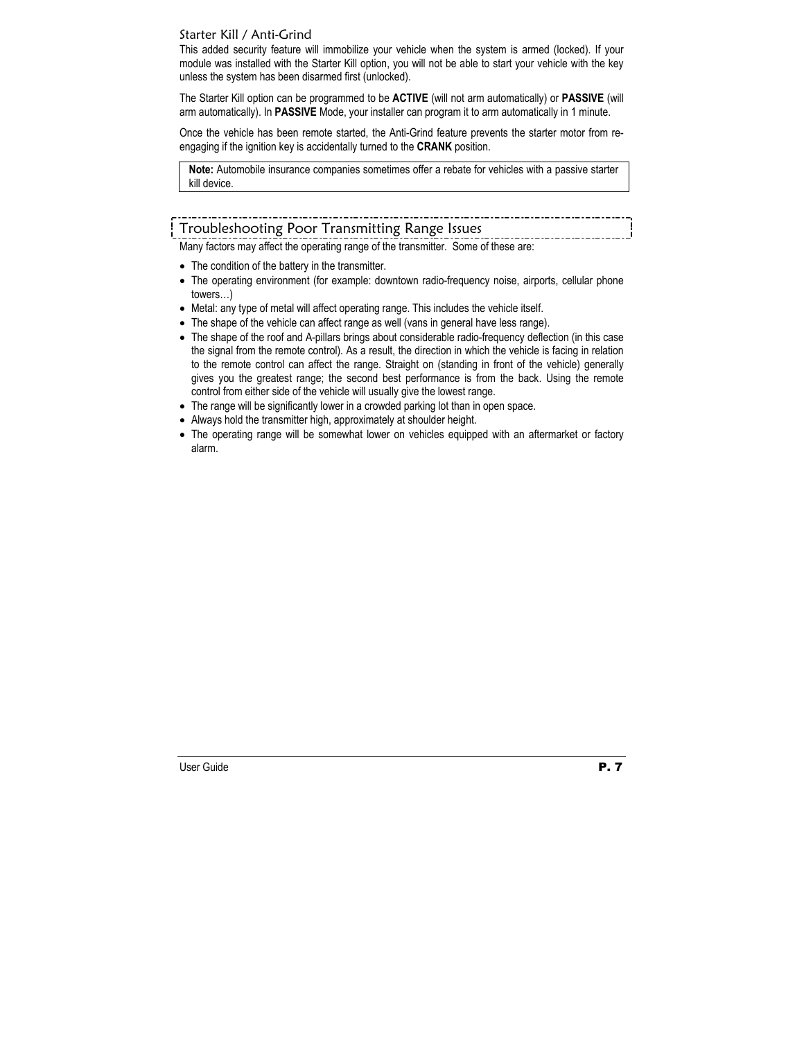### Starter Kill / Anti-Grind

This added security feature will immobilize your vehicle when the system is armed (locked). If your module was installed with the Starter Kill option, you will not be able to start your vehicle with the key unless the system has been disarmed first (unlocked).

The Starter Kill option can be programmed to be **ACTIVE** (will not arm automatically) or **PASSIVE** (will arm automatically). In **PASSIVE** Mode, your installer can program it to arm automatically in 1 minute.

Once the vehicle has been remote started, the Anti-Grind feature prevents the starter motor from reengaging if the ignition key is accidentally turned to the **CRANK** position.

**Note:** Automobile insurance companies sometimes offer a rebate for vehicles with a passive starter kill device.

# Troubleshooting Poor Transmitting Range Issues

Many factors may affect the operating range of the transmitter. Some of these are:

- The condition of the battery in the transmitter.
- The operating environment (for example: downtown radio-frequency noise, airports, cellular phone towers…)
- Metal: any type of metal will affect operating range. This includes the vehicle itself.
- The shape of the vehicle can affect range as well (vans in general have less range).
- The shape of the roof and A-pillars brings about considerable radio-frequency deflection (in this case the signal from the remote control). As a result, the direction in which the vehicle is facing in relation to the remote control can affect the range. Straight on (standing in front of the vehicle) generally gives you the greatest range; the second best performance is from the back. Using the remote control from either side of the vehicle will usually give the lowest range.
- The range will be significantly lower in a crowded parking lot than in open space.
- Always hold the transmitter high, approximately at shoulder height.
- The operating range will be somewhat lower on vehicles equipped with an aftermarket or factory alarm.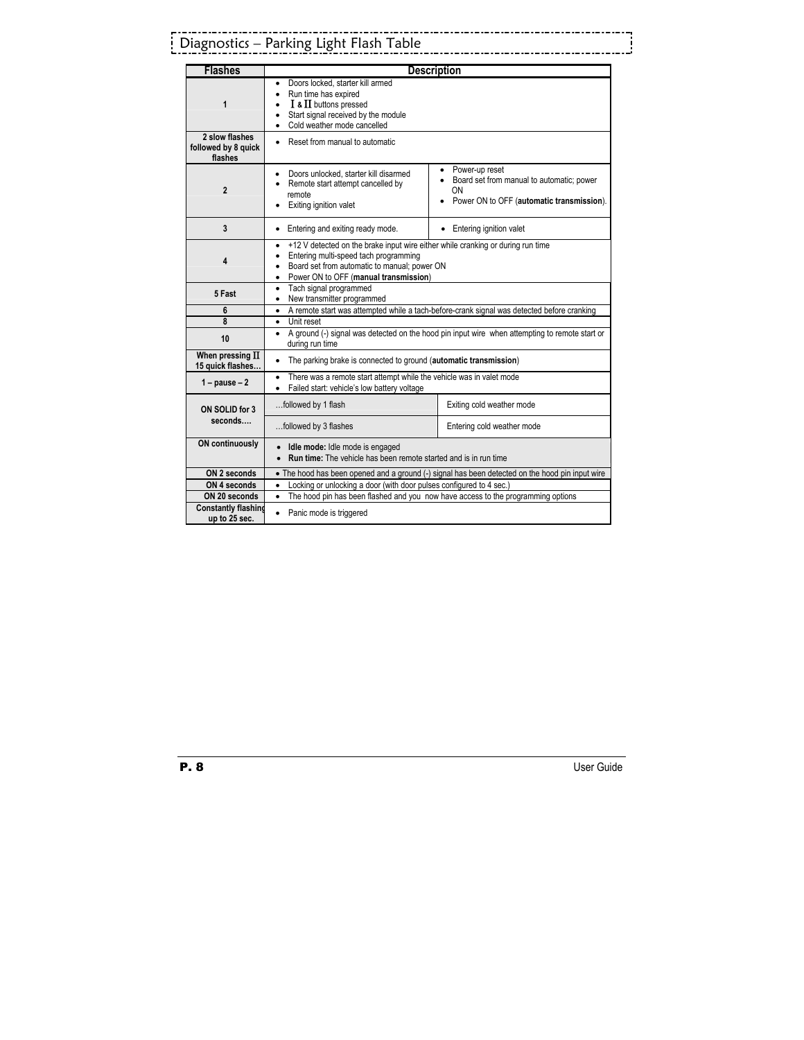# Diagnostics – Parking Light Flash Table

| <b>Flashes</b>                                   | <b>Description</b>                                                                                                                                                                                                                          |                                                                                                                |
|--------------------------------------------------|---------------------------------------------------------------------------------------------------------------------------------------------------------------------------------------------------------------------------------------------|----------------------------------------------------------------------------------------------------------------|
| 1                                                | Doors locked, starter kill armed<br>٠<br>Run time has expired<br>$\bullet$<br>$I$ & $II$ buttons pressed<br>Start signal received by the module<br>Cold weather mode cancelled<br>$\bullet$                                                 |                                                                                                                |
| 2 slow flashes<br>followed by 8 quick<br>flashes | Reset from manual to automatic                                                                                                                                                                                                              |                                                                                                                |
| $\overline{2}$                                   | Doors unlocked, starter kill disarmed<br>Remote start attempt cancelled by<br>remote<br>Exiting ignition valet                                                                                                                              | Power-up reset<br>Board set from manual to automatic; power<br>ON<br>Power ON to OFF (automatic transmission). |
| 3                                                | Entering and exiting ready mode.                                                                                                                                                                                                            | Entering ignition valet<br>٠                                                                                   |
| 4                                                | +12 V detected on the brake input wire either while cranking or during run time<br>Entering multi-speed tach programming<br>$\bullet$<br>Board set from automatic to manual; power ON<br>Power ON to OFF (manual transmission)<br>$\bullet$ |                                                                                                                |
| 5 Fast                                           | Tach signal programmed<br>٠<br>New transmitter programmed<br>$\bullet$                                                                                                                                                                      |                                                                                                                |
| 6                                                | A remote start was attempted while a tach-before-crank signal was detected before cranking<br>٠                                                                                                                                             |                                                                                                                |
| 8                                                | Unit reset<br>٠                                                                                                                                                                                                                             |                                                                                                                |
| 10                                               | A ground (-) signal was detected on the hood pin input wire when attempting to remote start or<br>٠<br>during run time                                                                                                                      |                                                                                                                |
| When pressing $\Pi$<br>15 quick flashes          | The parking brake is connected to ground (automatic transmission)<br>$\bullet$                                                                                                                                                              |                                                                                                                |
| $1 - pause - 2$                                  | There was a remote start attempt while the vehicle was in valet mode<br>$\bullet$<br>Failed start: vehicle's low battery voltage<br>$\bullet$                                                                                               |                                                                                                                |
| ON SOLID for 3                                   | followed by 1 flash                                                                                                                                                                                                                         | Exiting cold weather mode                                                                                      |
| seconds                                          | followed by 3 flashes                                                                                                                                                                                                                       | Entering cold weather mode                                                                                     |
| <b>ON continuously</b>                           | Idle mode: Idle mode is engaged<br><b>Run time:</b> The vehicle has been remote started and is in run time                                                                                                                                  |                                                                                                                |
| ON 2 seconds                                     | • The hood has been opened and a ground (-) signal has been detected on the hood pin input wire                                                                                                                                             |                                                                                                                |
| ON 4 seconds                                     | Locking or unlocking a door (with door pulses configured to 4 sec.)<br>$\bullet$                                                                                                                                                            |                                                                                                                |
| ON 20 seconds                                    | The hood pin has been flashed and you now have access to the programming options<br>$\bullet$                                                                                                                                               |                                                                                                                |
| <b>Constantly flashing</b><br>up to 25 sec.      | Panic mode is triggered<br>$\bullet$                                                                                                                                                                                                        |                                                                                                                |

. . . . . . . . .

. . . . . . . . . . . .

i